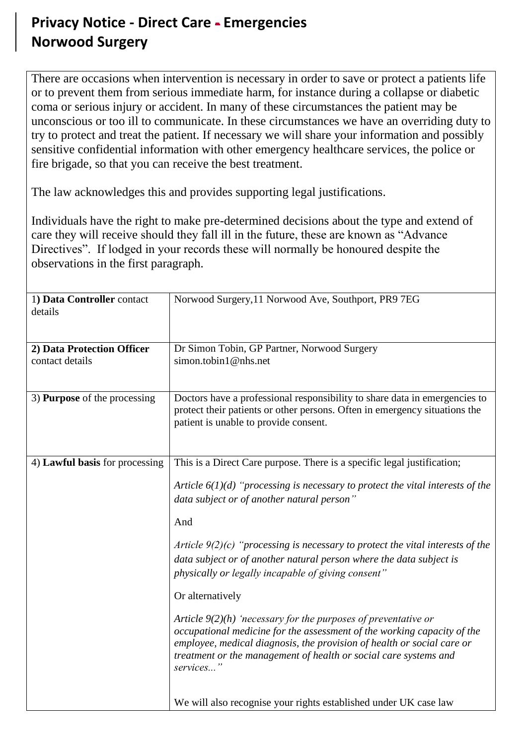## **Privacy Notice - Direct Care - Emergencies Norwood Surgery**

There are occasions when intervention is necessary in order to save or protect a patients life or to prevent them from serious immediate harm, for instance during a collapse or diabetic coma or serious injury or accident. In many of these circumstances the patient may be unconscious or too ill to communicate. In these circumstances we have an overriding duty to try to protect and treat the patient. If necessary we will share your information and possibly sensitive confidential information with other emergency healthcare services, the police or fire brigade, so that you can receive the best treatment.

The law acknowledges this and provides supporting legal justifications.

Individuals have the right to make pre-determined decisions about the type and extend of care they will receive should they fall ill in the future, these are known as "Advance Directives". If lodged in your records these will normally be honoured despite the observations in the first paragraph.

| 1) Data Controller contact<br>details         | Norwood Surgery, 11 Norwood Ave, Southport, PR9 7EG                                                                                                                                                                                                                                                                                                                                                                                                                                                                                                                                                                                                                                                                                                                                                                                 |
|-----------------------------------------------|-------------------------------------------------------------------------------------------------------------------------------------------------------------------------------------------------------------------------------------------------------------------------------------------------------------------------------------------------------------------------------------------------------------------------------------------------------------------------------------------------------------------------------------------------------------------------------------------------------------------------------------------------------------------------------------------------------------------------------------------------------------------------------------------------------------------------------------|
| 2) Data Protection Officer<br>contact details | Dr Simon Tobin, GP Partner, Norwood Surgery<br>simon.tobin1@nhs.net                                                                                                                                                                                                                                                                                                                                                                                                                                                                                                                                                                                                                                                                                                                                                                 |
| 3) <b>Purpose</b> of the processing           | Doctors have a professional responsibility to share data in emergencies to<br>protect their patients or other persons. Often in emergency situations the<br>patient is unable to provide consent.                                                                                                                                                                                                                                                                                                                                                                                                                                                                                                                                                                                                                                   |
| 4) Lawful basis for processing                | This is a Direct Care purpose. There is a specific legal justification;<br>Article $6(1)(d)$ "processing is necessary to protect the vital interests of the<br>data subject or of another natural person"<br>And<br>Article $9(2)(c)$ "processing is necessary to protect the vital interests of the<br>data subject or of another natural person where the data subject is<br>physically or legally incapable of giving consent"<br>Or alternatively<br>Article $9(2)(h)$ 'necessary for the purposes of preventative or<br>occupational medicine for the assessment of the working capacity of the<br>employee, medical diagnosis, the provision of health or social care or<br>treatment or the management of health or social care systems and<br>services"<br>We will also recognise your rights established under UK case law |